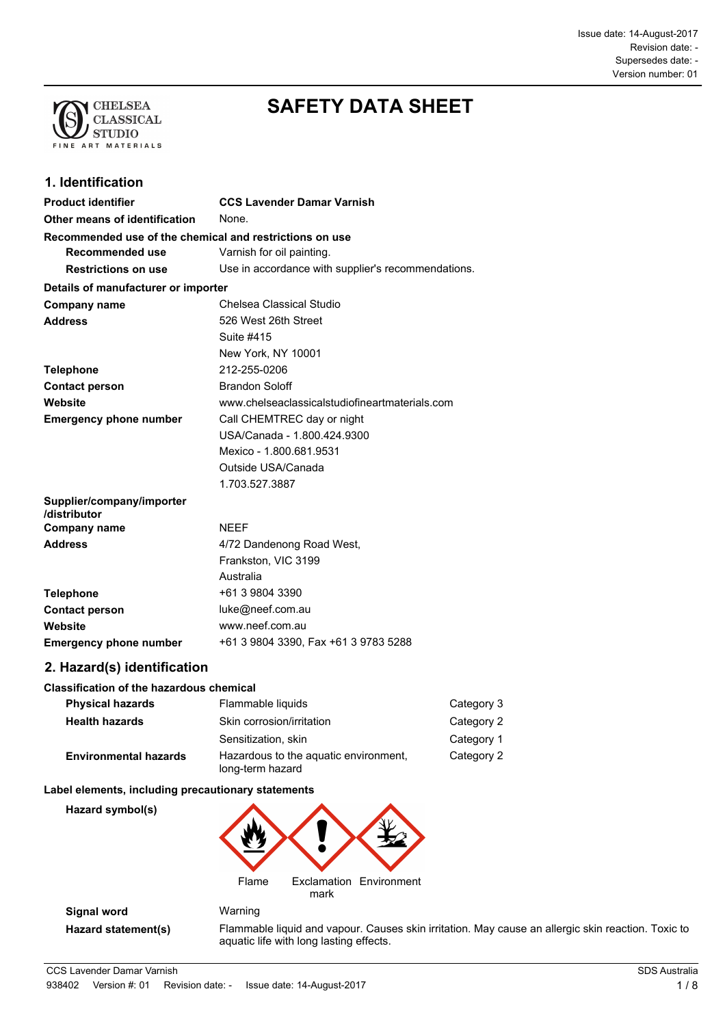

# **SAFETY DATA SHEET**

# **1. Identification**

| <b>Product identifier</b>                               | <b>CCS Lavender Damar Varnish</b>                  |
|---------------------------------------------------------|----------------------------------------------------|
| Other means of identification                           | None.                                              |
| Recommended use of the chemical and restrictions on use |                                                    |
| Recommended use                                         | Varnish for oil painting.                          |
| <b>Restrictions on use</b>                              | Use in accordance with supplier's recommendations. |
| Details of manufacturer or importer                     |                                                    |
| <b>Company name</b>                                     | Chelsea Classical Studio                           |
| <b>Address</b>                                          | 526 West 26th Street                               |
|                                                         | Suite #415                                         |
|                                                         | New York, NY 10001                                 |
| <b>Telephone</b>                                        | 212-255-0206                                       |
| <b>Contact person</b>                                   | <b>Brandon Soloff</b>                              |
| Website                                                 | www.chelseaclassicalstudiofineartmaterials.com     |
| <b>Emergency phone number</b>                           | Call CHEMTREC day or night                         |
|                                                         | USA/Canada - 1.800.424.9300                        |
|                                                         | Mexico - 1.800.681.9531                            |
|                                                         | Outside USA/Canada                                 |
|                                                         | 1.703.527.3887                                     |
| Supplier/company/importer<br>/distributor               |                                                    |
| <b>Company name</b>                                     | <b>NFFF</b>                                        |
| <b>Address</b>                                          | 4/72 Dandenong Road West,                          |
|                                                         | Frankston, VIC 3199                                |
|                                                         | Australia                                          |
| <b>Telephone</b>                                        | +61 3 9804 3390                                    |
| <b>Contact person</b>                                   | luke@neef.com.au                                   |
| Website                                                 | www.neef.com.au                                    |
| <b>Emergency phone number</b>                           | +61 3 9804 3390, Fax +61 3 9783 5288               |

# **2. Hazard(s) identification**

#### **Classification of the hazardous chemical**

| <b>Physical hazards</b>      | Flammable liquids                                         | Category 3 |
|------------------------------|-----------------------------------------------------------|------------|
| <b>Health hazards</b>        | Skin corrosion/irritation                                 | Category 2 |
|                              | Sensitization, skin                                       | Category 1 |
| <b>Environmental hazards</b> | Hazardous to the aguatic environment,<br>long-term hazard | Category 2 |

#### **Label elements, including precautionary statements**

**Hazard symbol(s)**



**Signal word** Warning

**Hazard statement(s)** Flammable liquid and vapour. Causes skin irritation. May cause an allergic skin reaction. Toxic to aquatic life with long lasting effects.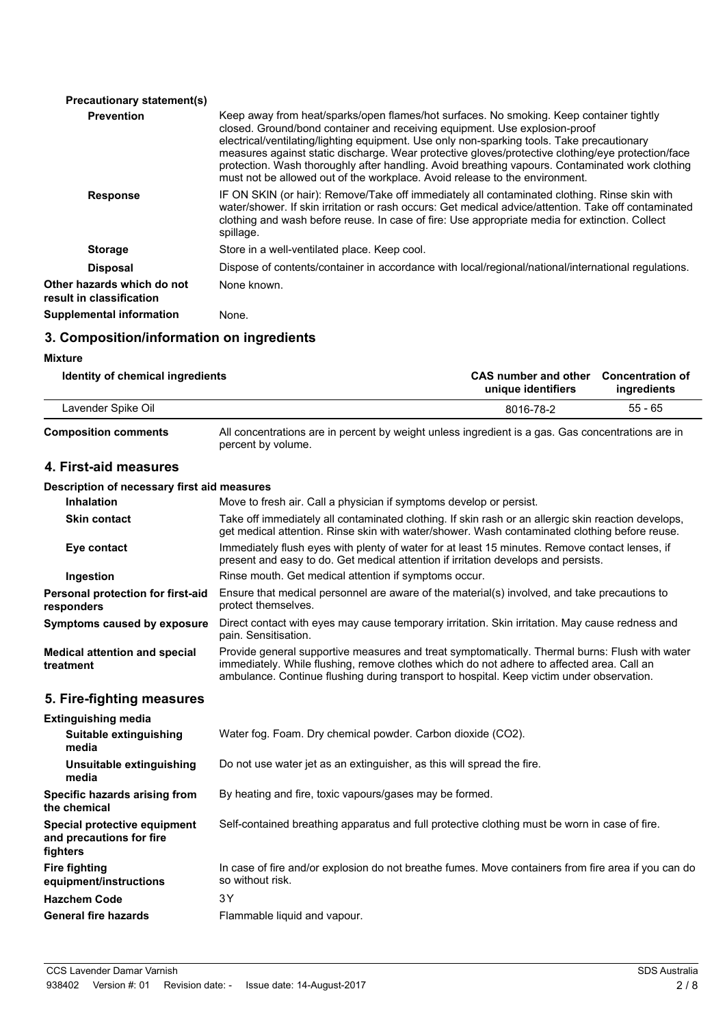| <b>Precautionary statement(s)</b>                      |                                                                                                                                                                                                                                                                                                                                                                                                                                                                                                                                                            |
|--------------------------------------------------------|------------------------------------------------------------------------------------------------------------------------------------------------------------------------------------------------------------------------------------------------------------------------------------------------------------------------------------------------------------------------------------------------------------------------------------------------------------------------------------------------------------------------------------------------------------|
| <b>Prevention</b>                                      | Keep away from heat/sparks/open flames/hot surfaces. No smoking. Keep container tightly<br>closed. Ground/bond container and receiving equipment. Use explosion-proof<br>electrical/ventilating/lighting equipment. Use only non-sparking tools. Take precautionary<br>measures against static discharge. Wear protective gloves/protective clothing/eye protection/face<br>protection. Wash thoroughly after handling. Avoid breathing vapours. Contaminated work clothing<br>must not be allowed out of the workplace. Avoid release to the environment. |
| <b>Response</b>                                        | IF ON SKIN (or hair): Remove/Take off immediately all contaminated clothing. Rinse skin with<br>water/shower. If skin irritation or rash occurs: Get medical advice/attention. Take off contaminated<br>clothing and wash before reuse. In case of fire: Use appropriate media for extinction. Collect<br>spillage.                                                                                                                                                                                                                                        |
| <b>Storage</b>                                         | Store in a well-ventilated place. Keep cool.                                                                                                                                                                                                                                                                                                                                                                                                                                                                                                               |
| <b>Disposal</b>                                        | Dispose of contents/container in accordance with local/regional/national/international regulations.                                                                                                                                                                                                                                                                                                                                                                                                                                                        |
| Other hazards which do not<br>result in classification | None known.                                                                                                                                                                                                                                                                                                                                                                                                                                                                                                                                                |
| <b>Supplemental information</b>                        | None.                                                                                                                                                                                                                                                                                                                                                                                                                                                                                                                                                      |

### **3. Composition/information on ingredients**

#### **Mixture CAS number and other** Concentration of **ingredients Identity of chemical ingredients** 55 - 65 **unique identifiers** Lavender Spike Oil 8016-78-2 All concentrations are in percent by weight unless ingredient is a gas. Gas concentrations are in percent by volume. **Composition comments 4. First-aid measures Description of necessary first aid measures Inhalation** Move to fresh air. Call a physician if symptoms develop or persist. Take off immediately all contaminated clothing. If skin rash or an allergic skin reaction develops, get medical attention. Rinse skin with water/shower. Wash contaminated clothing before reuse. **Skin contact** Immediately flush eyes with plenty of water for at least 15 minutes. Remove contact lenses, if present and easy to do. Get medical attention if irritation develops and persists. **Eye contact Ingestion Rinse mouth. Get medical attention if symptoms occur.** Ensure that medical personnel are aware of the material(s) involved, and take precautions to protect themselves. **Personal protection for first-aid responders** Direct contact with eyes may cause temporary irritation. Skin irritation. May cause redness and pain. Sensitisation. **Symptoms caused by exposure** Provide general supportive measures and treat symptomatically. Thermal burns: Flush with water immediately. While flushing, remove clothes which do not adhere to affected area. Call an ambulance. Continue flushing during transport to hospital. Keep victim under observation. **Medical attention and special treatment 5. Fire-fighting measures Extinguishing media Suitable extinguishing** Water fog. Foam. Dry chemical powder. Carbon dioxide (CO2). **media Unsuitable extinguishing** Do not use water jet as an extinguisher, as this will spread the fire. **media Specific hazards arising from** By heating and fire, toxic vapours/gases may be formed. **the chemical Special protective equipment** Self-contained breathing apparatus and full protective clothing must be worn in case of fire. **and precautions for fire fighters** In case of fire and/or explosion do not breathe fumes. Move containers from fire area if you can do so without risk. **Fire fighting equipment/instructions Hazchem Code** 3Y **General fire hazards** Flammable liquid and vapour.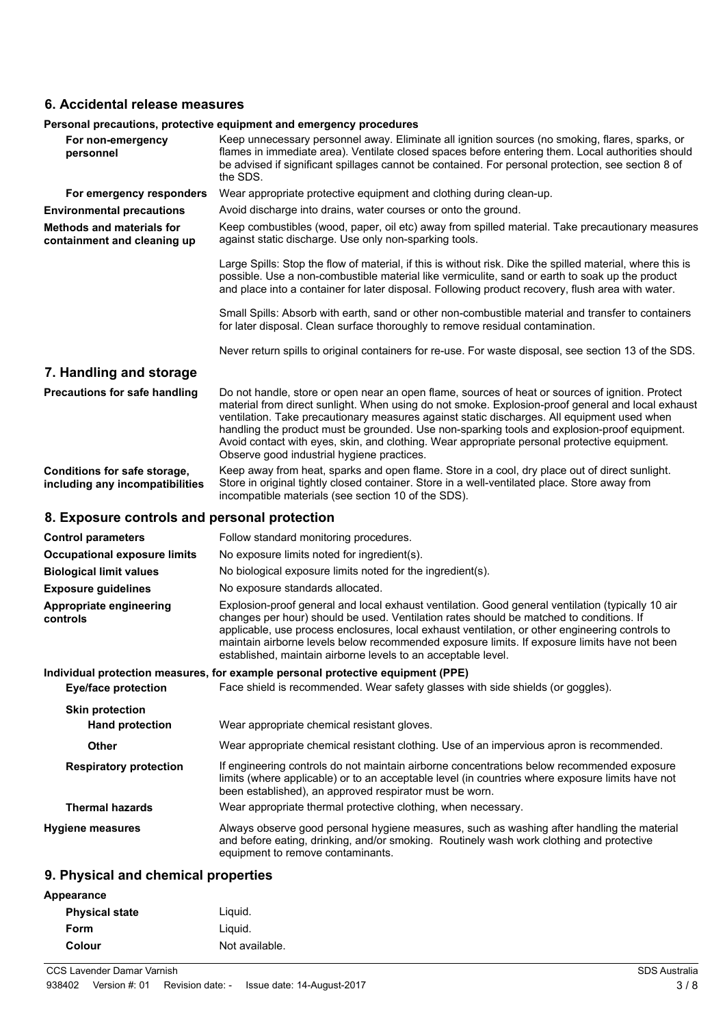#### **6. Accidental release measures**

|                                                                 | Personal precautions, protective equipment and emergency procedures                                                                                                                                                                                                                                                                                                                                                                                                                                                                                |  |
|-----------------------------------------------------------------|----------------------------------------------------------------------------------------------------------------------------------------------------------------------------------------------------------------------------------------------------------------------------------------------------------------------------------------------------------------------------------------------------------------------------------------------------------------------------------------------------------------------------------------------------|--|
| For non-emergency<br>personnel                                  | Keep unnecessary personnel away. Eliminate all ignition sources (no smoking, flares, sparks, or<br>flames in immediate area). Ventilate closed spaces before entering them. Local authorities should<br>be advised if significant spillages cannot be contained. For personal protection, see section 8 of<br>the SDS.                                                                                                                                                                                                                             |  |
| For emergency responders                                        | Wear appropriate protective equipment and clothing during clean-up.                                                                                                                                                                                                                                                                                                                                                                                                                                                                                |  |
| <b>Environmental precautions</b>                                | Avoid discharge into drains, water courses or onto the ground.                                                                                                                                                                                                                                                                                                                                                                                                                                                                                     |  |
| <b>Methods and materials for</b><br>containment and cleaning up | Keep combustibles (wood, paper, oil etc) away from spilled material. Take precautionary measures<br>against static discharge. Use only non-sparking tools.                                                                                                                                                                                                                                                                                                                                                                                         |  |
|                                                                 | Large Spills: Stop the flow of material, if this is without risk. Dike the spilled material, where this is<br>possible. Use a non-combustible material like vermiculite, sand or earth to soak up the product<br>and place into a container for later disposal. Following product recovery, flush area with water.                                                                                                                                                                                                                                 |  |
|                                                                 | Small Spills: Absorb with earth, sand or other non-combustible material and transfer to containers<br>for later disposal. Clean surface thoroughly to remove residual contamination.                                                                                                                                                                                                                                                                                                                                                               |  |
|                                                                 | Never return spills to original containers for re-use. For waste disposal, see section 13 of the SDS.                                                                                                                                                                                                                                                                                                                                                                                                                                              |  |
| 7. Handling and storage                                         |                                                                                                                                                                                                                                                                                                                                                                                                                                                                                                                                                    |  |
| <b>Precautions for safe handling</b>                            | Do not handle, store or open near an open flame, sources of heat or sources of ignition. Protect<br>material from direct sunlight. When using do not smoke. Explosion-proof general and local exhaust<br>ventilation. Take precautionary measures against static discharges. All equipment used when<br>handling the product must be grounded. Use non-sparking tools and explosion-proof equipment.<br>Avoid contact with eyes, skin, and clothing. Wear appropriate personal protective equipment.<br>Observe good industrial hygiene practices. |  |
| Conditions for safe storage,<br>including any incompatibilities | Keep away from heat, sparks and open flame. Store in a cool, dry place out of direct sunlight.<br>Store in original tightly closed container. Store in a well-ventilated place. Store away from<br>incompatible materials (see section 10 of the SDS).                                                                                                                                                                                                                                                                                             |  |
| 8. Exposure controls and personal protection                    |                                                                                                                                                                                                                                                                                                                                                                                                                                                                                                                                                    |  |
| <b>Control parameters</b>                                       | Follow standard monitoring procedures.                                                                                                                                                                                                                                                                                                                                                                                                                                                                                                             |  |
| <b>Occupational exposure limits</b>                             | No exposure limits noted for ingredient(s).                                                                                                                                                                                                                                                                                                                                                                                                                                                                                                        |  |
| <b>Biological limit values</b>                                  | No biological exposure limits noted for the ingredient(s).                                                                                                                                                                                                                                                                                                                                                                                                                                                                                         |  |
| <b>Exposure guidelines</b>                                      | No exposure standards allocated.                                                                                                                                                                                                                                                                                                                                                                                                                                                                                                                   |  |

Explosion-proof general and local exhaust ventilation. Good general ventilation (typically 10 air changes per hour) should be used. Ventilation rates should be matched to conditions. If applicable, use process enclosures, local exhaust ventilation, or other engineering controls to maintain airborne levels below recommended exposure limits. If exposure limits have not been established, maintain airborne levels to an acceptable level. **Appropriate engineering controls**

**Individual protection measures, for example personal protective equipment (PPE) Eye/face protection** Face shield is recommended. Wear safety glasses with side shields (or goggles). **Skin protection Hand protection** Wear appropriate chemical resistant gloves. **Other** Wear appropriate chemical resistant clothing. Use of an impervious apron is recommended. If engineering controls do not maintain airborne concentrations below recommended exposure limits (where applicable) or to an acceptable level (in countries where exposure limits have not been established), an approved respirator must be worn. **Respiratory protection Thermal hazards** Wear appropriate thermal protective clothing, when necessary. Always observe good personal hygiene measures, such as washing after handling the material and before eating, drinking, and/or smoking. Routinely wash work clothing and protective equipment to remove contaminants. **Hygiene measures**

#### **9. Physical and chemical properties**

| Appearance            |                |
|-----------------------|----------------|
| <b>Physical state</b> | Liguid.        |
| Form                  | Liguid.        |
| Colour                | Not available. |
|                       |                |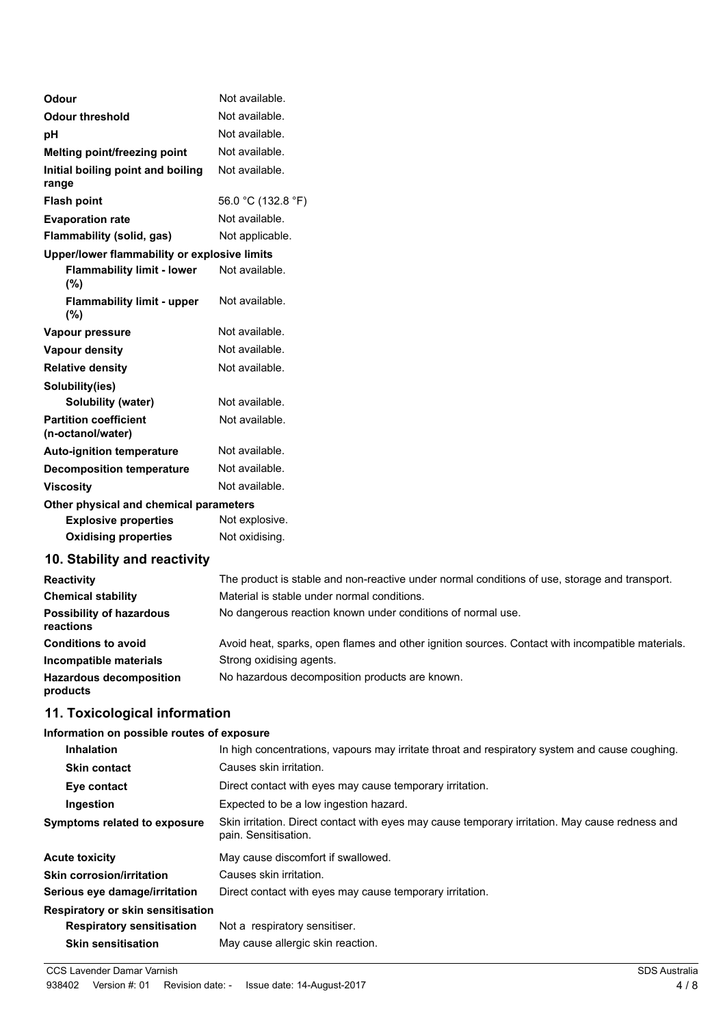| Odour                                             | Not available.                                                                                |
|---------------------------------------------------|-----------------------------------------------------------------------------------------------|
| <b>Odour threshold</b>                            | Not available.                                                                                |
| рH                                                | Not available.                                                                                |
| Melting point/freezing point                      | Not available.                                                                                |
| Initial boiling point and boiling<br>range        | Not available.                                                                                |
| <b>Flash point</b>                                | 56.0 °C (132.8 °F)                                                                            |
| <b>Evaporation rate</b>                           | Not available.                                                                                |
| Flammability (solid, gas)                         | Not applicable.                                                                               |
| Upper/lower flammability or explosive limits      |                                                                                               |
| <b>Flammability limit - lower</b><br>(%)          | Not available.                                                                                |
| <b>Flammability limit - upper</b><br>(%)          | Not available.                                                                                |
| Vapour pressure                                   | Not available.                                                                                |
| <b>Vapour density</b>                             | Not available.                                                                                |
| <b>Relative density</b>                           | Not available.                                                                                |
| Solubility(ies)                                   |                                                                                               |
| Solubility (water)                                | Not available.                                                                                |
| <b>Partition coefficient</b><br>(n-octanol/water) | Not available.                                                                                |
| <b>Auto-ignition temperature</b>                  | Not available.                                                                                |
| <b>Decomposition temperature</b>                  | Not available.                                                                                |
| <b>Viscosity</b>                                  | Not available.                                                                                |
| Other physical and chemical parameters            |                                                                                               |
| <b>Explosive properties</b>                       | Not explosive.                                                                                |
| <b>Oxidising properties</b>                       | Not oxidising.                                                                                |
| 10. Stability and reactivity                      |                                                                                               |
| Reactivity                                        | The product is stable and non-reactive under normal conditions of use, storage and transport. |
| <b>Chemical stability</b>                         | Material is stable under normal conditions.                                                   |
| <b>Possibility of hazardous</b><br>reactions      | No dangerous reaction known under conditions of normal use.                                   |

| <b>Conditions to avoid</b>                 | Avoid heat, sparks, open flames and other ignition sources. Contact with incompatible materials. |
|--------------------------------------------|--------------------------------------------------------------------------------------------------|
| Incompatible materials                     | Strong oxidising agents.                                                                         |
| <b>Hazardous decomposition</b><br>products | No hazardous decomposition products are known.                                                   |

# **11. Toxicological information**

#### **Information on possible routes of exposure**

| <b>Inhalation</b>                        | In high concentrations, vapours may irritate throat and respiratory system and cause coughing.                          |
|------------------------------------------|-------------------------------------------------------------------------------------------------------------------------|
| <b>Skin contact</b>                      | Causes skin irritation.                                                                                                 |
| Eye contact                              | Direct contact with eyes may cause temporary irritation.                                                                |
| Ingestion                                | Expected to be a low ingestion hazard.                                                                                  |
| Symptoms related to exposure             | Skin irritation. Direct contact with eyes may cause temporary irritation. May cause redness and<br>pain. Sensitisation. |
| <b>Acute toxicity</b>                    | May cause discomfort if swallowed.                                                                                      |
| <b>Skin corrosion/irritation</b>         | Causes skin irritation.                                                                                                 |
| Serious eye damage/irritation            | Direct contact with eyes may cause temporary irritation.                                                                |
| <b>Respiratory or skin sensitisation</b> |                                                                                                                         |
| <b>Respiratory sensitisation</b>         | Not a respiratory sensitiser.                                                                                           |
| <b>Skin sensitisation</b>                | May cause allergic skin reaction.                                                                                       |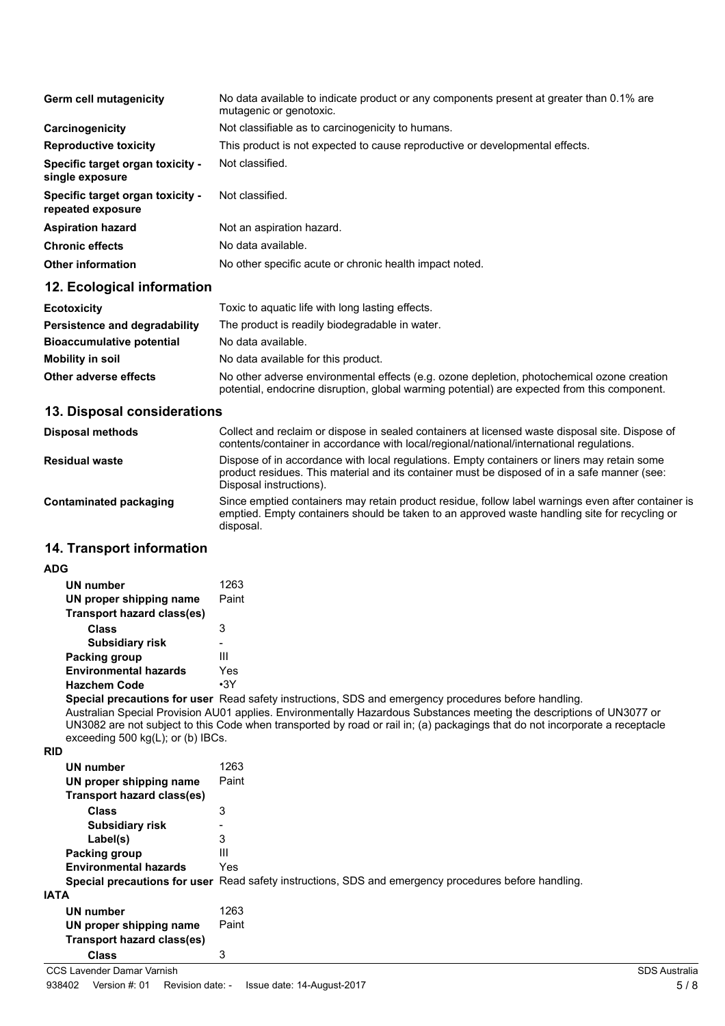| Germ cell mutagenicity                                       | No data available to indicate product or any components present at greater than 0.1% are<br>mutagenic or genotoxic. |
|--------------------------------------------------------------|---------------------------------------------------------------------------------------------------------------------|
| Carcinogenicity                                              | Not classifiable as to carcinogenicity to humans.                                                                   |
| <b>Reproductive toxicity</b>                                 | This product is not expected to cause reproductive or developmental effects.                                        |
| <b>Specific target organ toxicity -</b><br>single exposure   | Not classified.                                                                                                     |
| <b>Specific target organ toxicity -</b><br>repeated exposure | Not classified.                                                                                                     |
| <b>Aspiration hazard</b>                                     | Not an aspiration hazard.                                                                                           |
| <b>Chronic effects</b>                                       | No data available.                                                                                                  |
| <b>Other information</b>                                     | No other specific acute or chronic health impact noted.                                                             |

# **12. Ecological information**

| <b>Ecotoxicity</b>               | Toxic to aguatic life with long lasting effects.                                                                                                                                           |
|----------------------------------|--------------------------------------------------------------------------------------------------------------------------------------------------------------------------------------------|
| Persistence and degradability    | The product is readily biodegradable in water.                                                                                                                                             |
| <b>Bioaccumulative potential</b> | No data available.                                                                                                                                                                         |
| Mobility in soil                 | No data available for this product.                                                                                                                                                        |
| Other adverse effects            | No other adverse environmental effects (e.g. ozone depletion, photochemical ozone creation<br>potential, endocrine disruption, global warming potential) are expected from this component. |

# **13. Disposal considerations**

| <b>Disposal methods</b> | Collect and reclaim or dispose in sealed containers at licensed waste disposal site. Dispose of<br>contents/container in accordance with local/regional/national/international regulations.                            |
|-------------------------|------------------------------------------------------------------------------------------------------------------------------------------------------------------------------------------------------------------------|
| <b>Residual waste</b>   | Dispose of in accordance with local regulations. Empty containers or liners may retain some<br>product residues. This material and its container must be disposed of in a safe manner (see:<br>Disposal instructions). |
| Contaminated packaging  | Since emptied containers may retain product residue, follow label warnings even after container is<br>emptied. Empty containers should be taken to an approved waste handling site for recycling or<br>disposal.       |

# **14. Transport information**

#### **ADG**

| <b>UN number</b>                  | 1263  |
|-----------------------------------|-------|
| UN proper shipping name           | Paint |
| <b>Transport hazard class(es)</b> |       |
| Class                             | 3     |
| <b>Subsidiary risk</b>            |       |
| Packing group                     | Ш     |
| <b>Environmental hazards</b>      | Yes   |
| <b>Hazchem Code</b>               | •3Y   |

**Special precautions for user** Read safety instructions, SDS and emergency procedures before handling.

Australian Special Provision AU01 applies. Environmentally Hazardous Substances meeting the descriptions of UN3077 or UN3082 are not subject to this Code when transported by road or rail in; (a) packagings that do not incorporate a receptacle exceeding 500 kg(L); or (b) IBCs.

**RID**

| 1263                                                                                                 |
|------------------------------------------------------------------------------------------------------|
| Paint                                                                                                |
|                                                                                                      |
| 3                                                                                                    |
|                                                                                                      |
| 3                                                                                                    |
| Ш                                                                                                    |
| <b>Yes</b>                                                                                           |
| Special precautions for user Read safety instructions, SDS and emergency procedures before handling. |
|                                                                                                      |
| 1263                                                                                                 |
| Paint                                                                                                |
|                                                                                                      |
| 3                                                                                                    |
|                                                                                                      |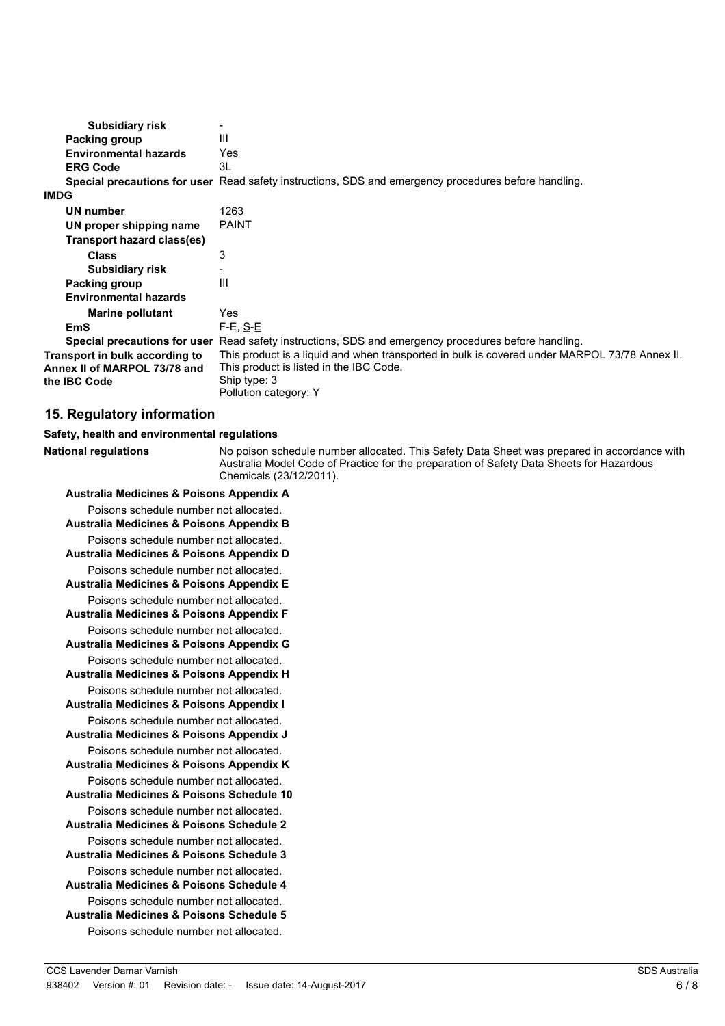| Ш                                                                                                                                                                                 |
|-----------------------------------------------------------------------------------------------------------------------------------------------------------------------------------|
| Yes                                                                                                                                                                               |
| 3L                                                                                                                                                                                |
| <b>Special precautions for user</b> Read safety instructions, SDS and emergency procedures before handling.                                                                       |
|                                                                                                                                                                                   |
| 1263                                                                                                                                                                              |
| <b>PAINT</b>                                                                                                                                                                      |
|                                                                                                                                                                                   |
| 3                                                                                                                                                                                 |
|                                                                                                                                                                                   |
| Ш                                                                                                                                                                                 |
|                                                                                                                                                                                   |
| Yes                                                                                                                                                                               |
| $F-E$ , $S-E$                                                                                                                                                                     |
| Read safety instructions, SDS and emergency procedures before handling.<br>Special precautions for user                                                                           |
| This product is a liquid and when transported in bulk is covered under MARPOL 73/78 Annex II.<br>This product is listed in the IBC Code.<br>Ship type: 3<br>Pollution category: Y |
|                                                                                                                                                                                   |

## **15. Regulatory information**

**National regulations**

#### **Safety, health and environmental regulations**

No poison schedule number allocated. This Safety Data Sheet was prepared in accordance with Australia Model Code of Practice for the preparation of Safety Data Sheets for Hazardous Chemicals (23/12/2011).

#### **Australia Medicines & Poisons Appendix A** Poisons schedule number not allocated. **Australia Medicines & Poisons Appendix B** Poisons schedule number not allocated. **Australia Medicines & Poisons Appendix D** Poisons schedule number not allocated. **Australia Medicines & Poisons Appendix E** Poisons schedule number not allocated. **Australia Medicines & Poisons Appendix F** Poisons schedule number not allocated. **Australia Medicines & Poisons Appendix G** Poisons schedule number not allocated. **Australia Medicines & Poisons Appendix H** Poisons schedule number not allocated. **Australia Medicines & Poisons Appendix I** Poisons schedule number not allocated. **Australia Medicines & Poisons Appendix J** Poisons schedule number not allocated. **Australia Medicines & Poisons Appendix K** Poisons schedule number not allocated. **Australia Medicines & Poisons Schedule 10** Poisons schedule number not allocated. **Australia Medicines & Poisons Schedule 2** Poisons schedule number not allocated. **Australia Medicines & Poisons Schedule 3** Poisons schedule number not allocated. **Australia Medicines & Poisons Schedule 4** Poisons schedule number not allocated. **Australia Medicines & Poisons Schedule 5** Poisons schedule number not allocated.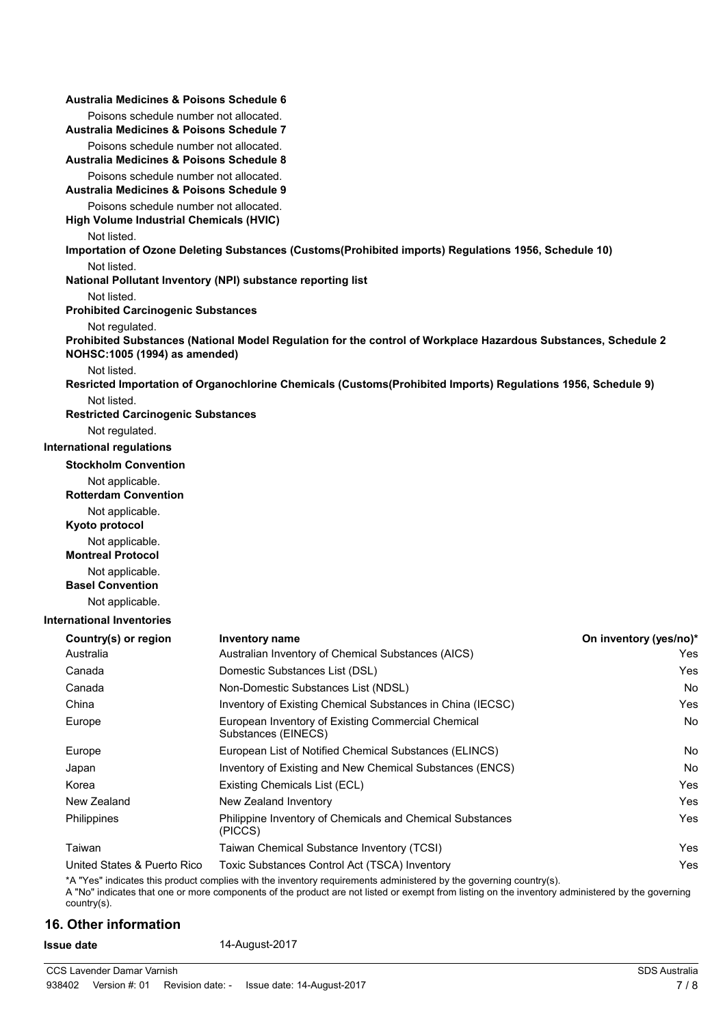| Australia Medicines & Poisons Schedule 6                                                 |                                                                                                                                                                                                                                                                        |                        |
|------------------------------------------------------------------------------------------|------------------------------------------------------------------------------------------------------------------------------------------------------------------------------------------------------------------------------------------------------------------------|------------------------|
| Poisons schedule number not allocated.                                                   |                                                                                                                                                                                                                                                                        |                        |
| Australia Medicines & Poisons Schedule 7                                                 |                                                                                                                                                                                                                                                                        |                        |
| Poisons schedule number not allocated.<br>Australia Medicines & Poisons Schedule 8       |                                                                                                                                                                                                                                                                        |                        |
| Poisons schedule number not allocated.<br>Australia Medicines & Poisons Schedule 9       |                                                                                                                                                                                                                                                                        |                        |
| Poisons schedule number not allocated.<br><b>High Volume Industrial Chemicals (HVIC)</b> |                                                                                                                                                                                                                                                                        |                        |
| Not listed.                                                                              |                                                                                                                                                                                                                                                                        |                        |
|                                                                                          | Importation of Ozone Deleting Substances (Customs(Prohibited imports) Regulations 1956, Schedule 10)                                                                                                                                                                   |                        |
| Not listed.                                                                              | National Pollutant Inventory (NPI) substance reporting list                                                                                                                                                                                                            |                        |
| Not listed.                                                                              |                                                                                                                                                                                                                                                                        |                        |
| <b>Prohibited Carcinogenic Substances</b>                                                |                                                                                                                                                                                                                                                                        |                        |
| Not regulated.<br>NOHSC:1005 (1994) as amended)                                          | Prohibited Substances (National Model Regulation for the control of Workplace Hazardous Substances, Schedule 2                                                                                                                                                         |                        |
| Not listed.                                                                              | Resricted Importation of Organochlorine Chemicals (Customs(Prohibited Imports) Regulations 1956, Schedule 9)                                                                                                                                                           |                        |
| Not listed.                                                                              |                                                                                                                                                                                                                                                                        |                        |
| <b>Restricted Carcinogenic Substances</b>                                                |                                                                                                                                                                                                                                                                        |                        |
| Not regulated.                                                                           |                                                                                                                                                                                                                                                                        |                        |
| <b>International regulations</b>                                                         |                                                                                                                                                                                                                                                                        |                        |
| <b>Stockholm Convention</b>                                                              |                                                                                                                                                                                                                                                                        |                        |
| Not applicable.<br><b>Rotterdam Convention</b>                                           |                                                                                                                                                                                                                                                                        |                        |
| Not applicable.<br>Kyoto protocol                                                        |                                                                                                                                                                                                                                                                        |                        |
| Not applicable.                                                                          |                                                                                                                                                                                                                                                                        |                        |
| <b>Montreal Protocol</b>                                                                 |                                                                                                                                                                                                                                                                        |                        |
| Not applicable.<br><b>Basel Convention</b>                                               |                                                                                                                                                                                                                                                                        |                        |
| Not applicable.                                                                          |                                                                                                                                                                                                                                                                        |                        |
| <b>International Inventories</b>                                                         |                                                                                                                                                                                                                                                                        |                        |
| Country(s) or region                                                                     | Inventory name                                                                                                                                                                                                                                                         | On inventory (yes/no)* |
| Australia                                                                                | Australian Inventory of Chemical Substances (AICS)                                                                                                                                                                                                                     | Yes                    |
| Canada                                                                                   | Domestic Substances List (DSL)                                                                                                                                                                                                                                         | Yes                    |
| Canada                                                                                   | Non-Domestic Substances List (NDSL)                                                                                                                                                                                                                                    | No                     |
| China                                                                                    | Inventory of Existing Chemical Substances in China (IECSC)                                                                                                                                                                                                             | Yes                    |
| Europe                                                                                   | European Inventory of Existing Commercial Chemical<br>Substances (EINECS)                                                                                                                                                                                              | No                     |
| Europe                                                                                   | European List of Notified Chemical Substances (ELINCS)                                                                                                                                                                                                                 | No                     |
| Japan                                                                                    | Inventory of Existing and New Chemical Substances (ENCS)                                                                                                                                                                                                               | No                     |
| Korea                                                                                    | Existing Chemicals List (ECL)                                                                                                                                                                                                                                          | Yes                    |
| New Zealand                                                                              | New Zealand Inventory                                                                                                                                                                                                                                                  | Yes                    |
| Philippines                                                                              | Philippine Inventory of Chemicals and Chemical Substances<br>(PICCS)                                                                                                                                                                                                   | Yes                    |
| Taiwan                                                                                   | Taiwan Chemical Substance Inventory (TCSI)                                                                                                                                                                                                                             | Yes                    |
| United States & Puerto Rico                                                              | Toxic Substances Control Act (TSCA) Inventory                                                                                                                                                                                                                          | Yes                    |
| country(s).                                                                              | *A "Yes" indicates this product complies with the inventory requirements administered by the governing country(s).<br>A "No" indicates that one or more components of the product are not listed or exempt from listing on the inventory administered by the governing |                        |

# **16. Other information**

**Issue date** 14-August-2017